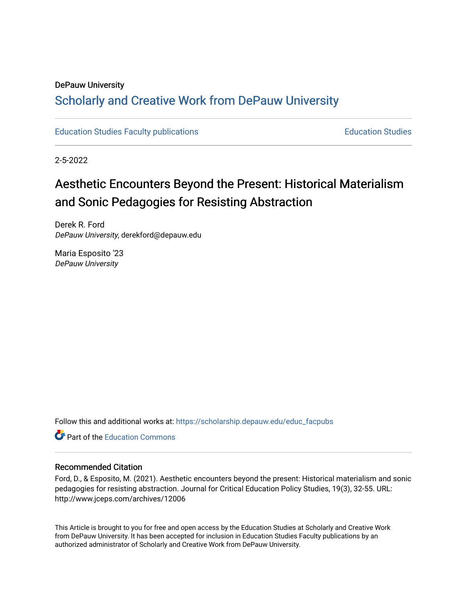#### DePauw University

## Scholarly and [Creative Work from DePauw Univ](https://scholarship.depauw.edu/)ersity

[Education Studies Faculty publications](https://scholarship.depauw.edu/educ_facpubs) [Education Studies](https://scholarship.depauw.edu/education) 

2-5-2022

# Aesthetic Encounters Beyond the Present: Historical Materialism and Sonic Pedagogies for Resisting Abstraction

Derek R. Ford DePauw University, derekford@depauw.edu

Maria Esposito '23 DePauw University

Follow this and additional works at: [https://scholarship.depauw.edu/educ\\_facpubs](https://scholarship.depauw.edu/educ_facpubs?utm_source=scholarship.depauw.edu%2Feduc_facpubs%2F32&utm_medium=PDF&utm_campaign=PDFCoverPages)

**C** Part of the [Education Commons](https://network.bepress.com/hgg/discipline/784?utm_source=scholarship.depauw.edu%2Feduc_facpubs%2F32&utm_medium=PDF&utm_campaign=PDFCoverPages)

#### Recommended Citation

Ford, D., & Esposito, M. (2021). Aesthetic encounters beyond the present: Historical materialism and sonic pedagogies for resisting abstraction. Journal for Critical Education Policy Studies, 19(3), 32-55. URL: http://www.jceps.com/archives/12006

This Article is brought to you for free and open access by the Education Studies at Scholarly and Creative Work from DePauw University. It has been accepted for inclusion in Education Studies Faculty publications by an authorized administrator of Scholarly and Creative Work from DePauw University.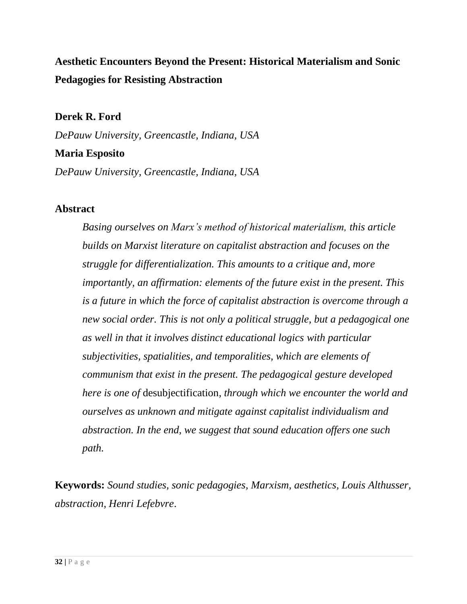## **Aesthetic Encounters Beyond the Present: Historical Materialism and Sonic Pedagogies for Resisting Abstraction**

### **Derek R. Ford**

*DePauw University, Greencastle, Indiana, USA*

#### **Maria Esposito**

*DePauw University, Greencastle, Indiana, USA*

#### **Abstract**

*Basing ourselves on Marx's method of historical materialism, this article builds on Marxist literature on capitalist abstraction and focuses on the struggle for differentialization. This amounts to a critique and, more importantly, an affirmation: elements of the future exist in the present. This is a future in which the force of capitalist abstraction is overcome through a new social order. This is not only a political struggle, but a pedagogical one as well in that it involves distinct educational logics with particular subjectivities, spatialities, and temporalities, which are elements of communism that exist in the present. The pedagogical gesture developed here is one of* desubjectification*, through which we encounter the world and ourselves as unknown and mitigate against capitalist individualism and abstraction. In the end, we suggest that sound education offers one such path.*

**Keywords:** *Sound studies, sonic pedagogies, Marxism, aesthetics, Louis Althusser, abstraction, Henri Lefebvre*.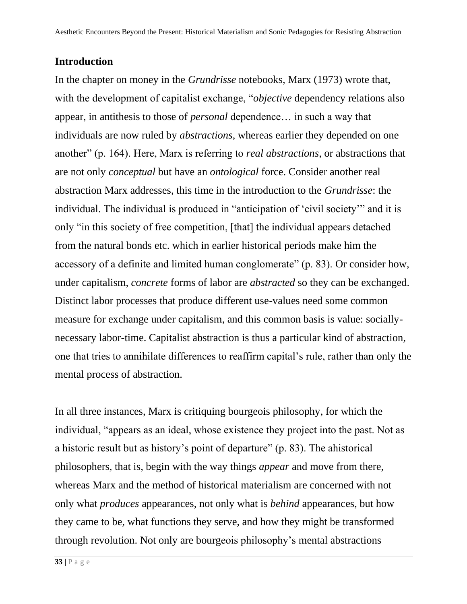#### **Introduction**

In the chapter on money in the *Grundrisse* notebooks, Marx (1973) wrote that, with the development of capitalist exchange, "*objective* dependency relations also appear, in antithesis to those of *personal* dependence… in such a way that individuals are now ruled by *abstractions*, whereas earlier they depended on one another" (p. 164). Here, Marx is referring to *real abstractions*, or abstractions that are not only *conceptual* but have an *ontological* force. Consider another real abstraction Marx addresses, this time in the introduction to the *Grundrisse*: the individual. The individual is produced in "anticipation of 'civil society'" and it is only "in this society of free competition, [that] the individual appears detached from the natural bonds etc. which in earlier historical periods make him the accessory of a definite and limited human conglomerate" (p. 83). Or consider how, under capitalism, *concrete* forms of labor are *abstracted* so they can be exchanged. Distinct labor processes that produce different use-values need some common measure for exchange under capitalism, and this common basis is value: sociallynecessary labor-time. Capitalist abstraction is thus a particular kind of abstraction, one that tries to annihilate differences to reaffirm capital's rule, rather than only the mental process of abstraction.

In all three instances, Marx is critiquing bourgeois philosophy, for which the individual, "appears as an ideal, whose existence they project into the past. Not as a historic result but as history's point of departure" (p. 83). The ahistorical philosophers, that is, begin with the way things *appear* and move from there, whereas Marx and the method of historical materialism are concerned with not only what *produces* appearances, not only what is *behind* appearances, but how they came to be, what functions they serve, and how they might be transformed through revolution. Not only are bourgeois philosophy's mental abstractions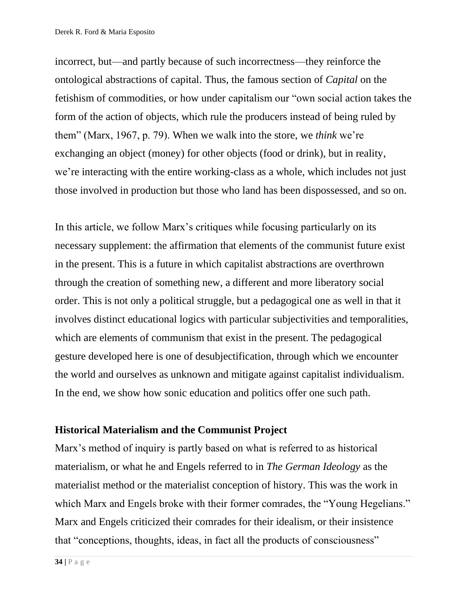incorrect, but—and partly because of such incorrectness—they reinforce the ontological abstractions of capital. Thus, the famous section of *Capital* on the fetishism of commodities, or how under capitalism our "own social action takes the form of the action of objects, which rule the producers instead of being ruled by them" (Marx, 1967, p. 79). When we walk into the store, we *think* we're exchanging an object (money) for other objects (food or drink), but in reality, we're interacting with the entire working-class as a whole, which includes not just those involved in production but those who land has been dispossessed, and so on.

In this article, we follow Marx's critiques while focusing particularly on its necessary supplement: the affirmation that elements of the communist future exist in the present. This is a future in which capitalist abstractions are overthrown through the creation of something new, a different and more liberatory social order. This is not only a political struggle, but a pedagogical one as well in that it involves distinct educational logics with particular subjectivities and temporalities, which are elements of communism that exist in the present. The pedagogical gesture developed here is one of desubjectification, through which we encounter the world and ourselves as unknown and mitigate against capitalist individualism. In the end, we show how sonic education and politics offer one such path.

#### **Historical Materialism and the Communist Project**

Marx's method of inquiry is partly based on what is referred to as historical materialism, or what he and Engels referred to in *The German Ideology* as the materialist method or the materialist conception of history. This was the work in which Marx and Engels broke with their former comrades, the "Young Hegelians." Marx and Engels criticized their comrades for their idealism, or their insistence that "conceptions, thoughts, ideas, in fact all the products of consciousness"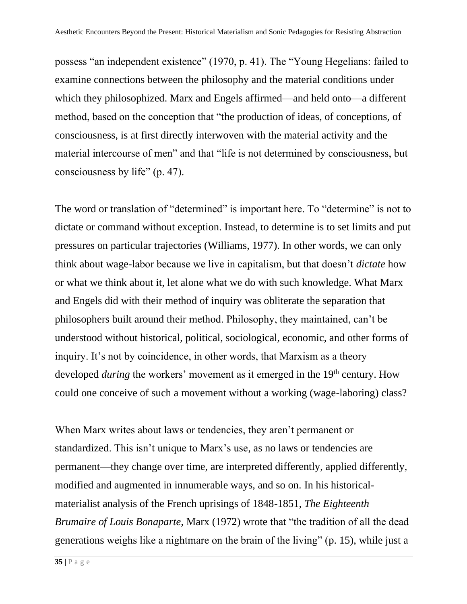possess "an independent existence" (1970, p. 41). The "Young Hegelians: failed to examine connections between the philosophy and the material conditions under which they philosophized. Marx and Engels affirmed—and held onto—a different method, based on the conception that "the production of ideas, of conceptions, of consciousness, is at first directly interwoven with the material activity and the material intercourse of men" and that "life is not determined by consciousness, but consciousness by life" (p. 47).

The word or translation of "determined" is important here. To "determine" is not to dictate or command without exception. Instead, to determine is to set limits and put pressures on particular trajectories (Williams, 1977). In other words, we can only think about wage-labor because we live in capitalism, but that doesn't *dictate* how or what we think about it, let alone what we do with such knowledge. What Marx and Engels did with their method of inquiry was obliterate the separation that philosophers built around their method. Philosophy, they maintained, can't be understood without historical, political, sociological, economic, and other forms of inquiry. It's not by coincidence, in other words, that Marxism as a theory developed *during* the workers' movement as it emerged in the 19<sup>th</sup> century. How could one conceive of such a movement without a working (wage-laboring) class?

When Marx writes about laws or tendencies, they aren't permanent or standardized. This isn't unique to Marx's use, as no laws or tendencies are permanent—they change over time, are interpreted differently, applied differently, modified and augmented in innumerable ways, and so on. In his historicalmaterialist analysis of the French uprisings of 1848-1851, *The Eighteenth Brumaire of Louis Bonaparte*, Marx (1972) wrote that "the tradition of all the dead generations weighs like a nightmare on the brain of the living" (p. 15), while just a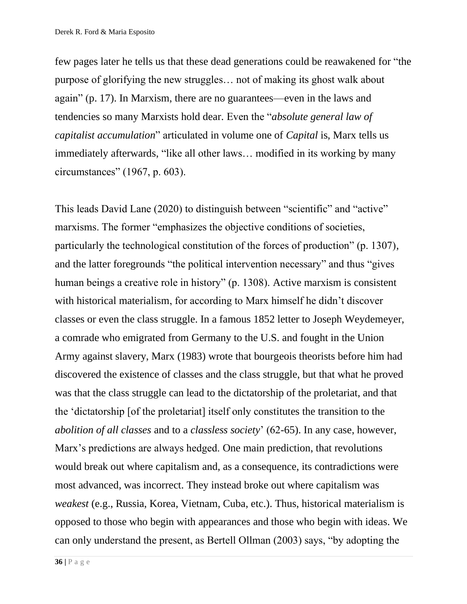few pages later he tells us that these dead generations could be reawakened for "the purpose of glorifying the new struggles… not of making its ghost walk about again" (p. 17). In Marxism, there are no guarantees—even in the laws and tendencies so many Marxists hold dear. Even the "*absolute general law of capitalist accumulation*" articulated in volume one of *Capital* is, Marx tells us immediately afterwards, "like all other laws… modified in its working by many circumstances" (1967, p. 603).

This leads David Lane (2020) to distinguish between "scientific" and "active" marxisms. The former "emphasizes the objective conditions of societies, particularly the technological constitution of the forces of production" (p. 1307), and the latter foregrounds "the political intervention necessary" and thus "gives human beings a creative role in history" (p. 1308). Active marxism is consistent with historical materialism, for according to Marx himself he didn't discover classes or even the class struggle. In a famous 1852 letter to Joseph Weydemeyer, a comrade who emigrated from Germany to the U.S. and fought in the Union Army against slavery, Marx (1983) wrote that bourgeois theorists before him had discovered the existence of classes and the class struggle, but that what he proved was that the class struggle can lead to the dictatorship of the proletariat, and that the 'dictatorship [of the proletariat] itself only constitutes the transition to the *abolition of all classes* and to a *classless society*' (62-65). In any case, however, Marx's predictions are always hedged. One main prediction, that revolutions would break out where capitalism and, as a consequence, its contradictions were most advanced, was incorrect. They instead broke out where capitalism was *weakest* (e.g., Russia, Korea, Vietnam, Cuba, etc.). Thus, historical materialism is opposed to those who begin with appearances and those who begin with ideas. We can only understand the present, as Bertell Ollman (2003) says, "by adopting the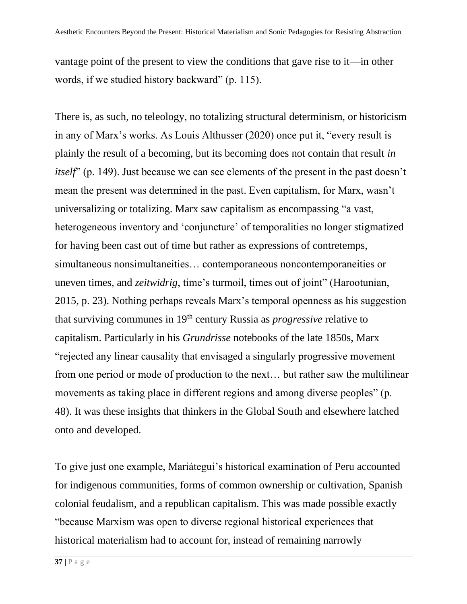vantage point of the present to view the conditions that gave rise to it—in other words, if we studied history backward" (p. 115).

There is, as such, no teleology, no totalizing structural determinism, or historicism in any of Marx's works. As Louis Althusser (2020) once put it, "every result is plainly the result of a becoming, but its becoming does not contain that result *in itself*" (p. 149). Just because we can see elements of the present in the past doesn't mean the present was determined in the past. Even capitalism, for Marx, wasn't universalizing or totalizing. Marx saw capitalism as encompassing "a vast, heterogeneous inventory and 'conjuncture' of temporalities no longer stigmatized for having been cast out of time but rather as expressions of contretemps, simultaneous nonsimultaneities... contemporaneous noncontemporaneities or uneven times, and *zeitwidrig*, time's turmoil, times out of joint" (Harootunian, 2015, p. 23). Nothing perhaps reveals Marx's temporal openness as his suggestion that surviving communes in 19th century Russia as *progressive* relative to capitalism. Particularly in his *Grundrisse* notebooks of the late 1850s, Marx "rejected any linear causality that envisaged a singularly progressive movement from one period or mode of production to the next… but rather saw the multilinear movements as taking place in different regions and among diverse peoples" (p. 48). It was these insights that thinkers in the Global South and elsewhere latched onto and developed.

To give just one example, Mariátegui's historical examination of Peru accounted for indigenous communities, forms of common ownership or cultivation, Spanish colonial feudalism, and a republican capitalism. This was made possible exactly "because Marxism was open to diverse regional historical experiences that historical materialism had to account for, instead of remaining narrowly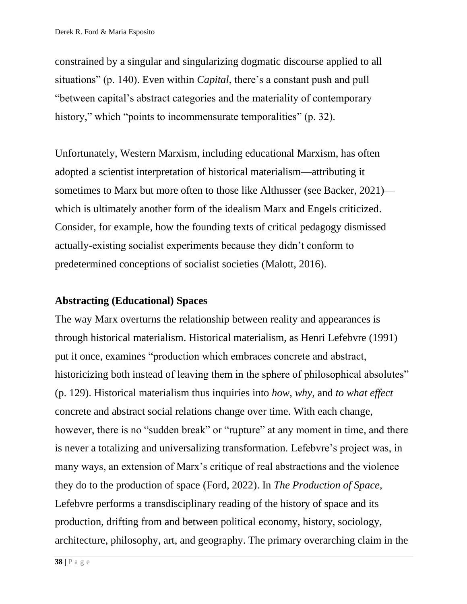constrained by a singular and singularizing dogmatic discourse applied to all situations" (p. 140). Even within *Capital*, there's a constant push and pull "between capital's abstract categories and the materiality of contemporary history," which "points to incommensurate temporalities" (p. 32).

Unfortunately, Western Marxism, including educational Marxism, has often adopted a scientist interpretation of historical materialism—attributing it sometimes to Marx but more often to those like Althusser (see Backer, 2021) which is ultimately another form of the idealism Marx and Engels criticized. Consider, for example, how the founding texts of critical pedagogy dismissed actually-existing socialist experiments because they didn't conform to predetermined conceptions of socialist societies (Malott, 2016).

### **Abstracting (Educational) Spaces**

The way Marx overturns the relationship between reality and appearances is through historical materialism. Historical materialism, as Henri Lefebvre (1991) put it once, examines "production which embraces concrete and abstract, historicizing both instead of leaving them in the sphere of philosophical absolutes" (p. 129). Historical materialism thus inquiries into *how*, *why*, and *to what effect*  concrete and abstract social relations change over time. With each change, however, there is no "sudden break" or "rupture" at any moment in time, and there is never a totalizing and universalizing transformation. Lefebvre's project was, in many ways, an extension of Marx's critique of real abstractions and the violence they do to the production of space (Ford, 2022). In *The Production of Space*, Lefebvre performs a transdisciplinary reading of the history of space and its production, drifting from and between political economy, history, sociology, architecture, philosophy, art, and geography. The primary overarching claim in the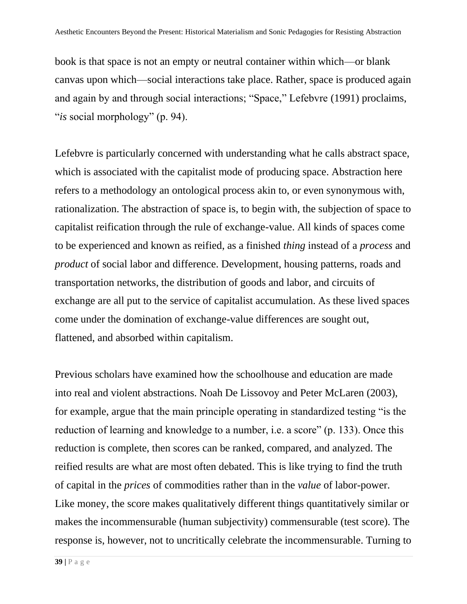book is that space is not an empty or neutral container within which—or blank canvas upon which—social interactions take place. Rather, space is produced again and again by and through social interactions; "Space," Lefebvre (1991) proclaims, "*is* social morphology" (p. 94).

Lefebvre is particularly concerned with understanding what he calls abstract space, which is associated with the capitalist mode of producing space. Abstraction here refers to a methodology an ontological process akin to, or even synonymous with, rationalization. The abstraction of space is, to begin with, the subjection of space to capitalist reification through the rule of exchange-value. All kinds of spaces come to be experienced and known as reified, as a finished *thing* instead of a *process* and *product* of social labor and difference. Development, housing patterns, roads and transportation networks, the distribution of goods and labor, and circuits of exchange are all put to the service of capitalist accumulation. As these lived spaces come under the domination of exchange-value differences are sought out, flattened, and absorbed within capitalism.

Previous scholars have examined how the schoolhouse and education are made into real and violent abstractions. Noah De Lissovoy and Peter McLaren (2003), for example, argue that the main principle operating in standardized testing "is the reduction of learning and knowledge to a number, i.e. a score" (p. 133). Once this reduction is complete, then scores can be ranked, compared, and analyzed. The reified results are what are most often debated. This is like trying to find the truth of capital in the *prices* of commodities rather than in the *value* of labor-power. Like money, the score makes qualitatively different things quantitatively similar or makes the incommensurable (human subjectivity) commensurable (test score). The response is, however, not to uncritically celebrate the incommensurable. Turning to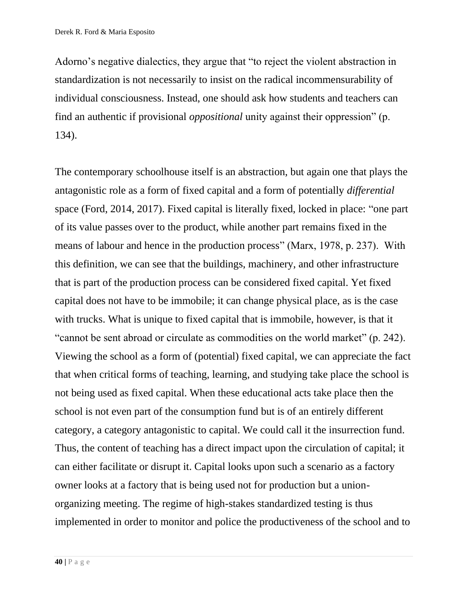Adorno's negative dialectics, they argue that "to reject the violent abstraction in standardization is not necessarily to insist on the radical incommensurability of individual consciousness. Instead, one should ask how students and teachers can find an authentic if provisional *oppositional* unity against their oppression" (p. 134).

The contemporary schoolhouse itself is an abstraction, but again one that plays the antagonistic role as a form of fixed capital and a form of potentially *differential* space (Ford, 2014, 2017). Fixed capital is literally fixed, locked in place: "one part of its value passes over to the product, while another part remains fixed in the means of labour and hence in the production process" (Marx, 1978, p. 237). With this definition, we can see that the buildings, machinery, and other infrastructure that is part of the production process can be considered fixed capital. Yet fixed capital does not have to be immobile; it can change physical place, as is the case with trucks. What is unique to fixed capital that is immobile, however, is that it "cannot be sent abroad or circulate as commodities on the world market" (p. 242). Viewing the school as a form of (potential) fixed capital, we can appreciate the fact that when critical forms of teaching, learning, and studying take place the school is not being used as fixed capital. When these educational acts take place then the school is not even part of the consumption fund but is of an entirely different category, a category antagonistic to capital. We could call it the insurrection fund. Thus, the content of teaching has a direct impact upon the circulation of capital; it can either facilitate or disrupt it. Capital looks upon such a scenario as a factory owner looks at a factory that is being used not for production but a unionorganizing meeting. The regime of high-stakes standardized testing is thus implemented in order to monitor and police the productiveness of the school and to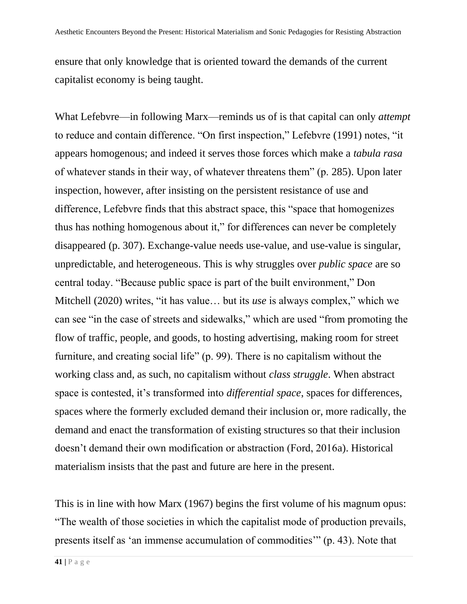ensure that only knowledge that is oriented toward the demands of the current capitalist economy is being taught.

What Lefebvre—in following Marx—reminds us of is that capital can only *attempt* to reduce and contain difference. "On first inspection," Lefebvre (1991) notes, "it appears homogenous; and indeed it serves those forces which make a *tabula rasa* of whatever stands in their way, of whatever threatens them" (p. 285). Upon later inspection, however, after insisting on the persistent resistance of use and difference, Lefebvre finds that this abstract space, this "space that homogenizes thus has nothing homogenous about it," for differences can never be completely disappeared (p. 307). Exchange-value needs use-value, and use-value is singular, unpredictable, and heterogeneous. This is why struggles over *public space* are so central today. "Because public space is part of the built environment," Don Mitchell (2020) writes, "it has value… but its *use* is always complex," which we can see "in the case of streets and sidewalks," which are used "from promoting the flow of traffic, people, and goods, to hosting advertising, making room for street furniture, and creating social life" (p. 99). There is no capitalism without the working class and, as such, no capitalism without *class struggle*. When abstract space is contested, it's transformed into *differential space*, spaces for differences, spaces where the formerly excluded demand their inclusion or, more radically, the demand and enact the transformation of existing structures so that their inclusion doesn't demand their own modification or abstraction (Ford, 2016a). Historical materialism insists that the past and future are here in the present.

This is in line with how Marx (1967) begins the first volume of his magnum opus: "The wealth of those societies in which the capitalist mode of production prevails, presents itself as 'an immense accumulation of commodities'" (p. 43). Note that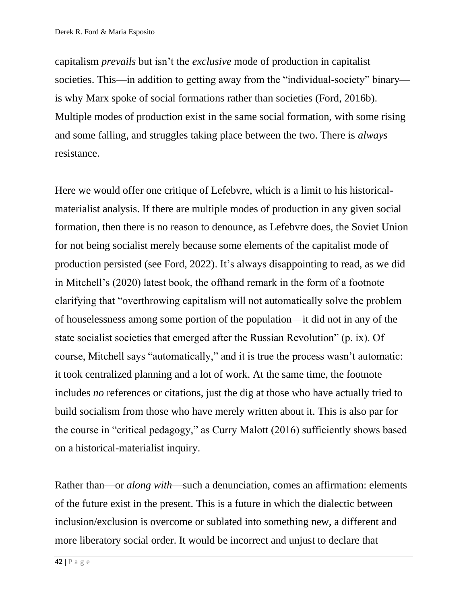capitalism *prevails* but isn't the *exclusive* mode of production in capitalist societies. This—in addition to getting away from the "individual-society" binary is why Marx spoke of social formations rather than societies (Ford, 2016b). Multiple modes of production exist in the same social formation, with some rising and some falling, and struggles taking place between the two. There is *always* resistance.

Here we would offer one critique of Lefebvre, which is a limit to his historicalmaterialist analysis. If there are multiple modes of production in any given social formation, then there is no reason to denounce, as Lefebvre does, the Soviet Union for not being socialist merely because some elements of the capitalist mode of production persisted (see Ford, 2022). It's always disappointing to read, as we did in Mitchell's (2020) latest book, the offhand remark in the form of a footnote clarifying that "overthrowing capitalism will not automatically solve the problem of houselessness among some portion of the population—it did not in any of the state socialist societies that emerged after the Russian Revolution" (p. ix). Of course, Mitchell says "automatically," and it is true the process wasn't automatic: it took centralized planning and a lot of work. At the same time, the footnote includes *no* references or citations, just the dig at those who have actually tried to build socialism from those who have merely written about it. This is also par for the course in "critical pedagogy," as Curry Malott (2016) sufficiently shows based on a historical-materialist inquiry.

Rather than—or *along with*—such a denunciation, comes an affirmation: elements of the future exist in the present. This is a future in which the dialectic between inclusion/exclusion is overcome or sublated into something new, a different and more liberatory social order. It would be incorrect and unjust to declare that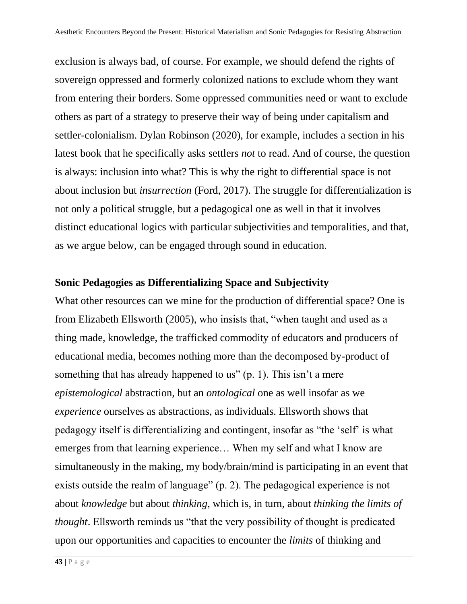exclusion is always bad, of course. For example, we should defend the rights of sovereign oppressed and formerly colonized nations to exclude whom they want from entering their borders. Some oppressed communities need or want to exclude others as part of a strategy to preserve their way of being under capitalism and settler-colonialism. Dylan Robinson (2020), for example, includes a section in his latest book that he specifically asks settlers *not* to read. And of course, the question is always: inclusion into what? This is why the right to differential space is not about inclusion but *insurrection* (Ford, 2017). The struggle for differentialization is not only a political struggle, but a pedagogical one as well in that it involves distinct educational logics with particular subjectivities and temporalities, and that, as we argue below, can be engaged through sound in education.

#### **Sonic Pedagogies as Differentializing Space and Subjectivity**

What other resources can we mine for the production of differential space? One is from Elizabeth Ellsworth (2005), who insists that, "when taught and used as a thing made, knowledge, the trafficked commodity of educators and producers of educational media, becomes nothing more than the decomposed by-product of something that has already happened to us" (p. 1). This isn't a mere *epistemological* abstraction, but an *ontological* one as well insofar as we *experience* ourselves as abstractions, as individuals. Ellsworth shows that pedagogy itself is differentializing and contingent, insofar as "the 'self' is what emerges from that learning experience… When my self and what I know are simultaneously in the making, my body/brain/mind is participating in an event that exists outside the realm of language" (p. 2). The pedagogical experience is not about *knowledge* but about *thinking*, which is, in turn, about *thinking the limits of thought*. Ellsworth reminds us "that the very possibility of thought is predicated upon our opportunities and capacities to encounter the *limits* of thinking and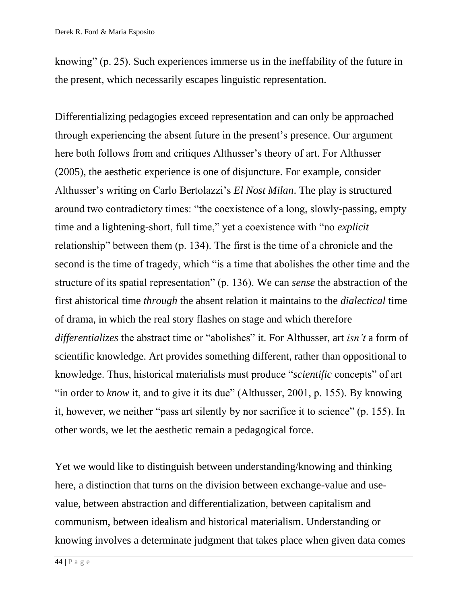knowing" (p. 25). Such experiences immerse us in the ineffability of the future in the present, which necessarily escapes linguistic representation.

Differentializing pedagogies exceed representation and can only be approached through experiencing the absent future in the present's presence. Our argument here both follows from and critiques Althusser's theory of art. For Althusser (2005), the aesthetic experience is one of disjuncture. For example, consider Althusser's writing on Carlo Bertolazzi's *El Nost Milan*. The play is structured around two contradictory times: "the coexistence of a long, slowly-passing, empty time and a lightening-short, full time," yet a coexistence with "no *explicit*  relationship" between them (p. 134). The first is the time of a chronicle and the second is the time of tragedy, which "is a time that abolishes the other time and the structure of its spatial representation" (p. 136). We can *sense* the abstraction of the first ahistorical time *through* the absent relation it maintains to the *dialectical* time of drama, in which the real story flashes on stage and which therefore *differentializes* the abstract time or "abolishes" it. For Althusser, art *isn't* a form of scientific knowledge. Art provides something different, rather than oppositional to knowledge. Thus, historical materialists must produce "*scientific* concepts" of art "in order to *know* it, and to give it its due" (Althusser, 2001, p. 155). By knowing it, however, we neither "pass art silently by nor sacrifice it to science" (p. 155). In other words, we let the aesthetic remain a pedagogical force.

Yet we would like to distinguish between understanding/knowing and thinking here, a distinction that turns on the division between exchange-value and usevalue, between abstraction and differentialization, between capitalism and communism, between idealism and historical materialism. Understanding or knowing involves a determinate judgment that takes place when given data comes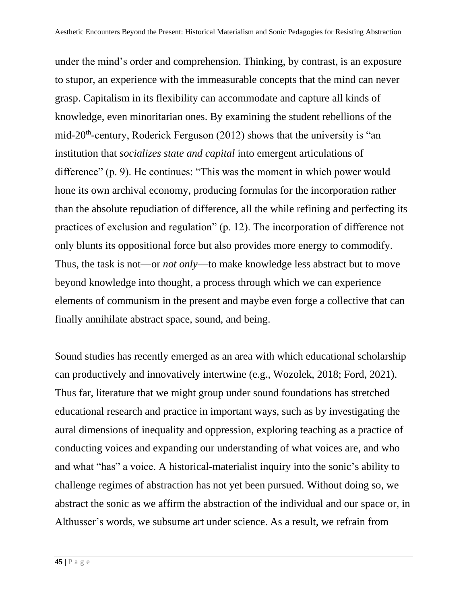under the mind's order and comprehension. Thinking, by contrast, is an exposure to stupor, an experience with the immeasurable concepts that the mind can never grasp. Capitalism in its flexibility can accommodate and capture all kinds of knowledge, even minoritarian ones. By examining the student rebellions of the mid-20<sup>th</sup>-century, Roderick Ferguson (2012) shows that the university is "an institution that *socializes state and capital* into emergent articulations of difference" (p. 9). He continues: "This was the moment in which power would hone its own archival economy, producing formulas for the incorporation rather than the absolute repudiation of difference, all the while refining and perfecting its practices of exclusion and regulation" (p. 12). The incorporation of difference not only blunts its oppositional force but also provides more energy to commodify. Thus, the task is not—or *not only*—to make knowledge less abstract but to move beyond knowledge into thought, a process through which we can experience elements of communism in the present and maybe even forge a collective that can finally annihilate abstract space, sound, and being.

Sound studies has recently emerged as an area with which educational scholarship can productively and innovatively intertwine (e.g., Wozolek, 2018; Ford, 2021). Thus far, literature that we might group under sound foundations has stretched educational research and practice in important ways, such as by investigating the aural dimensions of inequality and oppression, exploring teaching as a practice of conducting voices and expanding our understanding of what voices are, and who and what "has" a voice. A historical-materialist inquiry into the sonic's ability to challenge regimes of abstraction has not yet been pursued. Without doing so, we abstract the sonic as we affirm the abstraction of the individual and our space or, in Althusser's words, we subsume art under science. As a result, we refrain from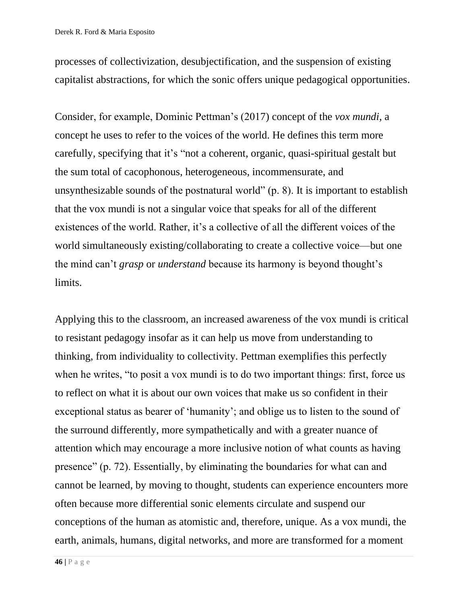processes of collectivization, desubjectification, and the suspension of existing capitalist abstractions, for which the sonic offers unique pedagogical opportunities.

Consider, for example, Dominic Pettman's (2017) concept of the *vox mundi*, a concept he uses to refer to the voices of the world. He defines this term more carefully, specifying that it's "not a coherent, organic, quasi-spiritual gestalt but the sum total of cacophonous, heterogeneous, incommensurate, and unsynthesizable sounds of the postnatural world" (p. 8). It is important to establish that the vox mundi is not a singular voice that speaks for all of the different existences of the world. Rather, it's a collective of all the different voices of the world simultaneously existing/collaborating to create a collective voice—but one the mind can't *grasp* or *understand* because its harmony is beyond thought's limits.

Applying this to the classroom, an increased awareness of the vox mundi is critical to resistant pedagogy insofar as it can help us move from understanding to thinking, from individuality to collectivity. Pettman exemplifies this perfectly when he writes, "to posit a vox mundi is to do two important things: first, force us to reflect on what it is about our own voices that make us so confident in their exceptional status as bearer of 'humanity'; and oblige us to listen to the sound of the surround differently, more sympathetically and with a greater nuance of attention which may encourage a more inclusive notion of what counts as having presence" (p. 72). Essentially, by eliminating the boundaries for what can and cannot be learned, by moving to thought, students can experience encounters more often because more differential sonic elements circulate and suspend our conceptions of the human as atomistic and, therefore, unique. As a vox mundi, the earth, animals, humans, digital networks, and more are transformed for a moment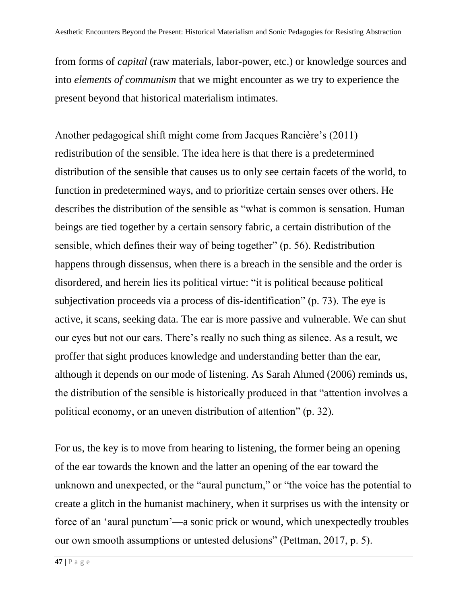from forms of *capital* (raw materials, labor-power, etc.) or knowledge sources and into *elements of communism* that we might encounter as we try to experience the present beyond that historical materialism intimates.

Another pedagogical shift might come from Jacques Rancière's (2011) redistribution of the sensible. The idea here is that there is a predetermined distribution of the sensible that causes us to only see certain facets of the world, to function in predetermined ways, and to prioritize certain senses over others. He describes the distribution of the sensible as "what is common is sensation. Human beings are tied together by a certain sensory fabric, a certain distribution of the sensible, which defines their way of being together" (p. 56). Redistribution happens through dissensus, when there is a breach in the sensible and the order is disordered, and herein lies its political virtue: "it is political because political subjectivation proceeds via a process of dis-identification" (p. 73). The eye is active, it scans, seeking data. The ear is more passive and vulnerable. We can shut our eyes but not our ears. There's really no such thing as silence. As a result, we proffer that sight produces knowledge and understanding better than the ear, although it depends on our mode of listening. As Sarah Ahmed (2006) reminds us, the distribution of the sensible is historically produced in that "attention involves a political economy, or an uneven distribution of attention" (p. 32).

For us, the key is to move from hearing to listening, the former being an opening of the ear towards the known and the latter an opening of the ear toward the unknown and unexpected, or the "aural punctum," or "the voice has the potential to create a glitch in the humanist machinery, when it surprises us with the intensity or force of an 'aural punctum'—a sonic prick or wound, which unexpectedly troubles our own smooth assumptions or untested delusions" (Pettman, 2017, p. 5).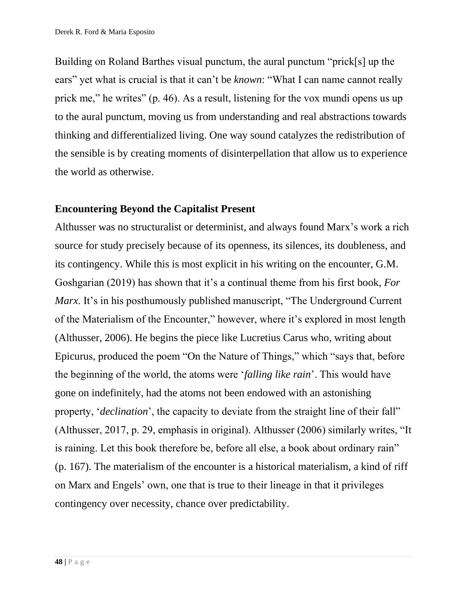Building on Roland Barthes visual punctum, the aural punctum "prick[s] up the ears" yet what is crucial is that it can't be *known*: "What I can name cannot really prick me," he writes" (p. 46). As a result, listening for the vox mundi opens us up to the aural punctum, moving us from understanding and real abstractions towards thinking and differentialized living. One way sound catalyzes the redistribution of the sensible is by creating moments of disinterpellation that allow us to experience the world as otherwise.

#### **Encountering Beyond the Capitalist Present**

Althusser was no structuralist or determinist, and always found Marx's work a rich source for study precisely because of its openness, its silences, its doubleness, and its contingency. While this is most explicit in his writing on the encounter, G.M. Goshgarian (2019) has shown that it's a continual theme from his first book, *For Marx*. It's in his posthumously published manuscript, "The Underground Current" of the Materialism of the Encounter," however, where it's explored in most length (Althusser, 2006). He begins the piece like Lucretius Carus who, writing about Epicurus, produced the poem "On the Nature of Things," which "says that, before the beginning of the world, the atoms were '*falling like rain*'. This would have gone on indefinitely, had the atoms not been endowed with an astonishing property, '*declination*', the capacity to deviate from the straight line of their fall" (Althusser, 2017, p. 29, emphasis in original). Althusser (2006) similarly writes, "It is raining. Let this book therefore be, before all else, a book about ordinary rain" (p. 167). The materialism of the encounter is a historical materialism, a kind of riff on Marx and Engels' own, one that is true to their lineage in that it privileges contingency over necessity, chance over predictability.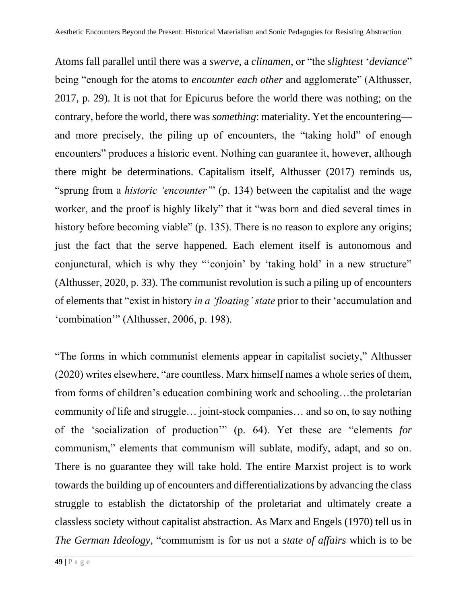Atoms fall parallel until there was a *swerve*, a *clinamen*, or "the *slightest* '*deviance*" being "enough for the atoms to *encounter each other* and agglomerate" (Althusser, 2017, p. 29). It is not that for Epicurus before the world there was nothing; on the contrary, before the world, there was *something*: materiality. Yet the encountering and more precisely, the piling up of encounters, the "taking hold" of enough encounters" produces a historic event. Nothing can guarantee it, however, although there might be determinations. Capitalism itself, Althusser (2017) reminds us, "sprung from a *historic 'encounter'*" (p. 134) between the capitalist and the wage worker, and the proof is highly likely" that it "was born and died several times in history before becoming viable" (p. 135). There is no reason to explore any origins; just the fact that the serve happened. Each element itself is autonomous and conjunctural, which is why they "'conjoin' by 'taking hold' in a new structure" (Althusser, 2020, p. 33). The communist revolution is such a piling up of encounters of elements that "exist in history *in a 'floating' state* prior to their 'accumulation and 'combination'" (Althusser, 2006, p. 198).

"The forms in which communist elements appear in capitalist society," Althusser (2020) writes elsewhere, "are countless. Marx himself names a whole series of them, from forms of children's education combining work and schooling…the proletarian community of life and struggle… joint-stock companies… and so on, to say nothing of the 'socialization of production'" (p. 64). Yet these are "elements *for* communism," elements that communism will sublate, modify, adapt, and so on. There is no guarantee they will take hold. The entire Marxist project is to work towards the building up of encounters and differentializations by advancing the class struggle to establish the dictatorship of the proletariat and ultimately create a classless society without capitalist abstraction. As Marx and Engels (1970) tell us in *The German Ideology*, "communism is for us not a *state of affairs* which is to be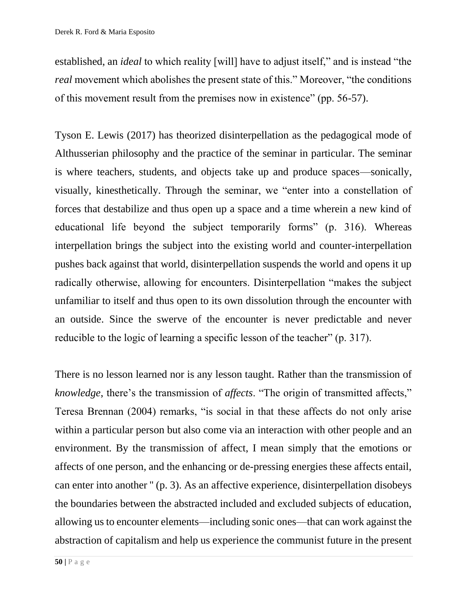established, an *ideal* to which reality [will] have to adjust itself," and is instead "the *real* movement which abolishes the present state of this." Moreover, "the conditions of this movement result from the premises now in existence" (pp. 56-57).

Tyson E. Lewis (2017) has theorized disinterpellation as the pedagogical mode of Althusserian philosophy and the practice of the seminar in particular. The seminar is where teachers, students, and objects take up and produce spaces—sonically, visually, kinesthetically. Through the seminar, we "enter into a constellation of forces that destabilize and thus open up a space and a time wherein a new kind of educational life beyond the subject temporarily forms" (p. 316). Whereas interpellation brings the subject into the existing world and counter-interpellation pushes back against that world, disinterpellation suspends the world and opens it up radically otherwise, allowing for encounters. Disinterpellation "makes the subject unfamiliar to itself and thus open to its own dissolution through the encounter with an outside. Since the swerve of the encounter is never predictable and never reducible to the logic of learning a specific lesson of the teacher" (p. 317).

There is no lesson learned nor is any lesson taught. Rather than the transmission of *knowledge*, there's the transmission of *affects*. "The origin of transmitted affects," Teresa Brennan (2004) remarks, "is social in that these affects do not only arise within a particular person but also come via an interaction with other people and an environment. By the transmission of affect, I mean simply that the emotions or affects of one person, and the enhancing or de-pressing energies these affects entail, can enter into another '' (p. 3). As an affective experience, disinterpellation disobeys the boundaries between the abstracted included and excluded subjects of education, allowing us to encounter elements—including sonic ones—that can work against the abstraction of capitalism and help us experience the communist future in the present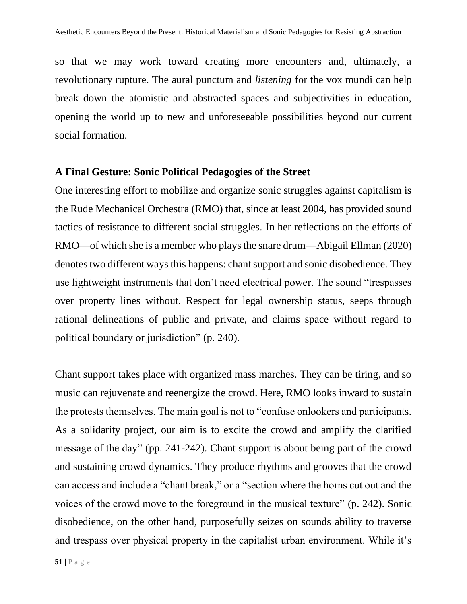so that we may work toward creating more encounters and, ultimately, a revolutionary rupture. The aural punctum and *listening* for the vox mundi can help break down the atomistic and abstracted spaces and subjectivities in education, opening the world up to new and unforeseeable possibilities beyond our current social formation.

#### **A Final Gesture: Sonic Political Pedagogies of the Street**

One interesting effort to mobilize and organize sonic struggles against capitalism is the Rude Mechanical Orchestra (RMO) that, since at least 2004, has provided sound tactics of resistance to different social struggles. In her reflections on the efforts of RMO—of which she is a member who plays the snare drum—Abigail Ellman (2020) denotes two different ways this happens: chant support and sonic disobedience. They use lightweight instruments that don't need electrical power. The sound "trespasses over property lines without. Respect for legal ownership status, seeps through rational delineations of public and private, and claims space without regard to political boundary or jurisdiction" (p. 240).

Chant support takes place with organized mass marches. They can be tiring, and so music can rejuvenate and reenergize the crowd. Here, RMO looks inward to sustain the protests themselves. The main goal is not to "confuse onlookers and participants. As a solidarity project, our aim is to excite the crowd and amplify the clarified message of the day" (pp. 241-242). Chant support is about being part of the crowd and sustaining crowd dynamics. They produce rhythms and grooves that the crowd can access and include a "chant break," or a "section where the horns cut out and the voices of the crowd move to the foreground in the musical texture" (p. 242). Sonic disobedience, on the other hand, purposefully seizes on sounds ability to traverse and trespass over physical property in the capitalist urban environment. While it's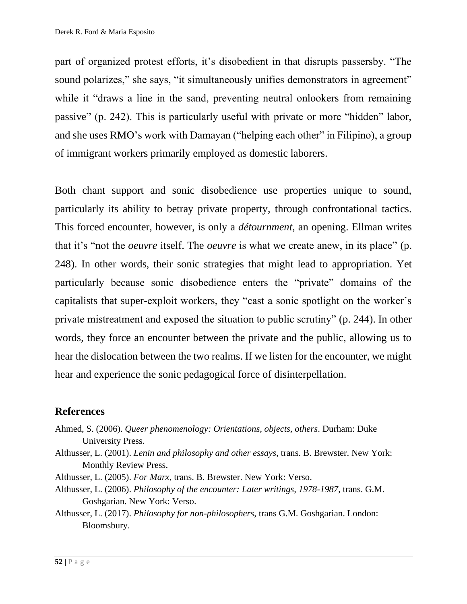part of organized protest efforts, it's disobedient in that disrupts passersby. "The sound polarizes," she says, "it simultaneously unifies demonstrators in agreement" while it "draws a line in the sand, preventing neutral onlookers from remaining passive" (p. 242). This is particularly useful with private or more "hidden" labor, and she uses RMO's work with Damayan ("helping each other" in Filipino), a group of immigrant workers primarily employed as domestic laborers.

Both chant support and sonic disobedience use properties unique to sound, particularly its ability to betray private property, through confrontational tactics. This forced encounter, however, is only a *détournment*, an opening. Ellman writes that it's "not the *oeuvre* itself. The *oeuvre* is what we create anew, in its place" (p. 248). In other words, their sonic strategies that might lead to appropriation. Yet particularly because sonic disobedience enters the "private" domains of the capitalists that super-exploit workers, they "cast a sonic spotlight on the worker's private mistreatment and exposed the situation to public scrutiny" (p. 244). In other words, they force an encounter between the private and the public, allowing us to hear the dislocation between the two realms. If we listen for the encounter, we might hear and experience the sonic pedagogical force of disinterpellation.

#### **References**

- Ahmed, S. (2006). *Queer phenomenology: Orientations, objects, others*. Durham: Duke University Press.
- Althusser, L. (2001). *Lenin and philosophy and other essays*, trans. B. Brewster. New York: Monthly Review Press.
- Althusser, L. (2005). *For Marx*, trans. B. Brewster. New York: Verso.
- Althusser, L. (2006). *Philosophy of the encounter: Later writings, 1978-1987*, trans. G.M. Goshgarian. New York: Verso.
- Althusser, L. (2017). *Philosophy for non-philosophers*, trans G.M. Goshgarian. London: Bloomsbury.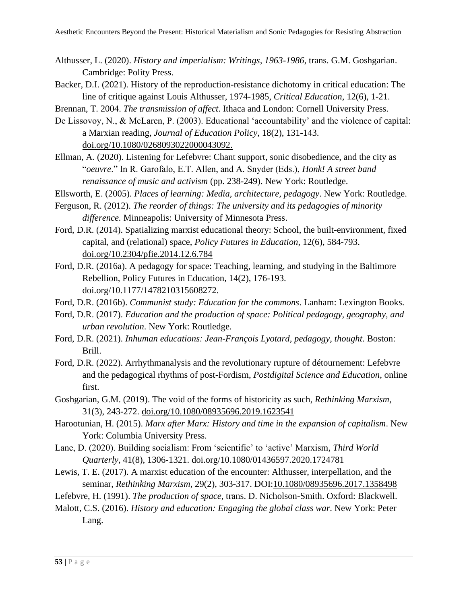- Althusser, L. (2020). *History and imperialism: Writings, 1963-1986*, trans. G.M. Goshgarian. Cambridge: Polity Press.
- Backer, D.I. (2021). History of the reproduction-resistance dichotomy in critical education: The line of critique against Louis Althusser, 1974-1985, *Critical Education*, 12(6), 1-21.
- Brennan, T. 2004. *The transmission of affect*. Ithaca and London: Cornell University Press.
- De Lissovoy, N., & McLaren, P. (2003). Educational 'accountability' and the violence of capital: a Marxian reading, *Journal of Education Policy*, 18(2), 131-143. [doi.org/10.1080/0268093022000043092.](https://doi.org/10.1080/0268093022000043092)
- Ellman, A. (2020). Listening for Lefebvre: Chant support, sonic disobedience, and the city as "*oeuvre*." In R. Garofalo, E.T. Allen, and A. Snyder (Eds.), *Honk! A street band renaissance of music and activism* (pp. 238-249). New York: Routledge.
- Ellsworth, E. (2005). *Places of learning: Media, architecture, pedagogy*. New York: Routledge.
- Ferguson, R. (2012). *The reorder of things: The university and its pedagogies of minority difference.* Minneapolis: University of Minnesota Press.
- Ford, D.R. (2014). Spatializing marxist educational theory: School, the built-environment, fixed capital, and (relational) space, *Policy Futures in Education*, 12(6), 584-793. [doi.org/10.2304/pfie.2014.12.6.784](https://doi.org/10.2304%2Fpfie.2014.12.6.784)
- Ford, D.R. (2016a). A pedagogy for space: Teaching, learning, and studying in the Baltimore Rebellion, Policy Futures in Education, 14(2), 176-193. doi.org/10.1177/1478210315608272.
- Ford, D.R. (2016b). *Communist study: Education for the commons*. Lanham: Lexington Books.
- Ford, D.R. (2017). *Education and the production of space: Political pedagogy, geography, and urban revolution*. New York: Routledge.
- Ford, D.R. (2021). *Inhuman educations: Jean-François Lyotard, pedagogy, thought*. Boston: Brill.
- Ford, D.R. (2022). Arrhythmanalysis and the revolutionary rupture of détournement: Lefebvre and the pedagogical rhythms of post-Fordism, *Postdigital Science and Education*, online first.
- Goshgarian, G.M. (2019). The void of the forms of historicity as such, *Rethinking Marxism*, 31(3), 243-272. [doi.org/10.1080/08935696.2019.1623541](https://doi.org/10.1080/08935696.2019.1623541)
- Harootunian, H. (2015). *Marx after Marx: History and time in the expansion of capitalism*. New York: Columbia University Press.
- Lane, D. (2020). Building socialism: From 'scientific' to 'active' Marxism, *Third World Quarterly*, 41(8), 1306-1321. [doi.org/10.1080/01436597.2020.1724781](https://doi.org/10.1080/01436597.2020.1724781)
- Lewis, T. E. (2017). A marxist education of the encounter: Althusser, interpellation, and the seminar, *Rethinking Marxism*, 29(2), 303-317. DOI[:10.1080/08935696.2017.1358498](http://dx.doi.org/10.1080/08935696.2017.1358498)
- Lefebvre, H. (1991). *The production of space*, trans. D. Nicholson-Smith. Oxford: Blackwell.
- Malott, C.S. (2016). *History and education: Engaging the global class war*. New York: Peter Lang.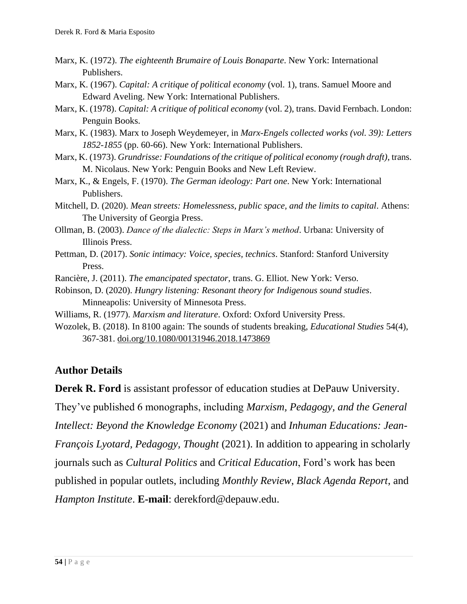- Marx, K. (1972). *The eighteenth Brumaire of Louis Bonaparte*. New York: International Publishers.
- Marx, K. (1967). *Capital: A critique of political economy* (vol. 1), trans. Samuel Moore and Edward Aveling. New York: International Publishers.
- Marx, K. (1978). *Capital: A critique of political economy* (vol. 2), trans. David Fernbach. London: Penguin Books.
- Marx, K. (1983). Marx to Joseph Weydemeyer, in *Marx-Engels collected works (vol. 39): Letters 1852-1855* (pp. 60-66). New York: International Publishers.
- Marx, K. (1973). *Grundrisse: Foundations of the critique of political economy (rough draft)*, trans. M. Nicolaus. New York: Penguin Books and New Left Review.
- Marx, K., & Engels, F. (1970). *The German ideology: Part one*. New York: International Publishers.
- Mitchell, D. (2020). *Mean streets: Homelessness, public space, and the limits to capital*. Athens: The University of Georgia Press.
- Ollman, B. (2003). *Dance of the dialectic: Steps in Marx's method*. Urbana: University of Illinois Press.
- Pettman, D. (2017). *Sonic intimacy: Voice, species, technics*. Stanford: Stanford University Press.
- Rancière, J. (2011). *The emancipated spectator*, trans. G. Elliot. New York: Verso.
- Robinson, D. (2020). *Hungry listening: Resonant theory for Indigenous sound studies*. Minneapolis: University of Minnesota Press.
- Williams, R. (1977). *Marxism and literature*. Oxford: Oxford University Press.
- Wozolek, B. (2018). In 8100 again: The sounds of students breaking, *Educational Studies* 54(4), 367-381. [doi.org/10.1080/00131946.2018.1473869](https://doi.org/10.1080/00131946.2018.1473869)

#### **Author Details**

**Derek R. Ford** is assistant professor of education studies at DePauw University.

They've published 6 monographs, including *Marxism, Pedagogy, and the General* 

*Intellect: Beyond the Knowledge Economy* (2021) and *Inhuman Educations: Jean-*

*François Lyotard, Pedagogy, Thought* (2021). In addition to appearing in scholarly

journals such as *Cultural Politics* and *Critical Education*, Ford's work has been

published in popular outlets, including *Monthly Review*, *Black Agenda Report*, and

*Hampton Institute*. **E-mail**: derekford@depauw.edu.